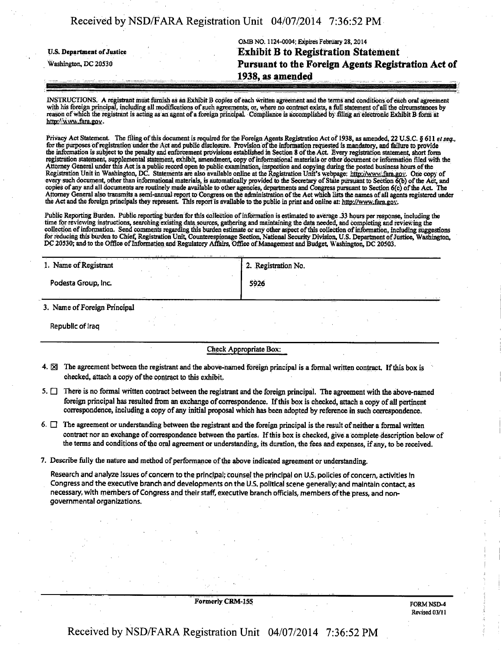| Received by NSD/FARA Registration Unit 04/07/2014 7:36:52 PM |  |
|--------------------------------------------------------------|--|
|                                                              |  |

OMB NO. 1124-0004; Expires February 28,2014 **y.s. Department of justice Exhibit B to Registration Statement Pursuant to the Foreign Agents Registration Act of . 1938, as amended** 

INSTRUCTIONS. A registrant must furnish as an Exhibit B copies of each written agreement and the terms and conditions of each oral agreement with his foreign principal, including all modifications of such agreements; or, where no contract exists, a full statement of all the circumstances by reason of which the registrant is acting as an agent of a foreign principal. Compliance is accomplished by filing an electronic Exhibit B form at http://www.fara.gov.

Privacy Act Statement. The filing of this document is required for the Foreign Agents Registration Act of 1938, as amended, 22 U.S.C. § 611 et seq., for the purposes of registration under the Act and public disclosure. Provision of the information requested is mandatory, and failure to provide the information is subject to the penalty and enforcement provisions established in Section 8 of the Act Every registration statement, short form registration statement, supplemental statement, exhibit, amendment, copy of informational materials or other document or information filed with the Attorney General under this Act is a public record open to public examination, inspection and copying during the posted business hours of the Registration Unit in Washington, DC. Statements are also available online at the Registration Unit's webpage: http://www.fara.gov. One copy of every such document, other than informational materials, is automatically provided to the Secretary of State pursuant to Section 6(b) of the Acl, and copies of any and all documents are routinely made available to other agencies, departments and Congress pursuant to Section 6(c) of the Act The Attorney General also transmits a semi-annual report to Congress on the administration of the Act which lists the names of all agents registered under the Act and the foreign principals they represent. This report is available to the public in print and online at: http://www.fara.gov.

Public Reporting Burden. Public reporting burden for this collection of information is estimated to average .33 hours per response, including the time for reviewing instructions, searching existing data sources, gathering and maintaining the data needed, and completing and reviewing the collection of information. Send comments regarding this burden estimate or any other aspect of mis collection of information, including suggestions for reducing this burden to Chief, Registration Unit, Counterespionage Section, National Security Division, U.S. Department of Justice, Washington, DC 20530; and to the Office of Information and Regulatory Affairs, Office of Management and Budget, Washington, DC 20503.

| 1. Name of Registrant        | 2. Registration No. |
|------------------------------|---------------------|
| Podesta Group, Inc.          | 5926                |
| 3. Name of Foreign Principal |                     |

Republic of Iraq

Check Appropriate Box:

- 4.  $\boxtimes$  The agreement between the registrant and the above-named foreign principal is a formal written contract. If this box is checked, attach a copy of the contract to this exhibit.
- 5.  $\Box$  There is no formal written contract between the registrant and the foreign principal. The agreement with the above-named foreign principal has resulted from an exchange of correspondence. If this box is checked, attach a copy of all pertinent correspondence, including a copy of any initial proposal which has been adopted by reference in such correspondence.

6.  $\Box$  The agreement or understanding between the registrant and the foreign principal is the result of neither a formal written contract nor an exchange of correspondence between the parties. If this box is checked, give a complete description below of the terms and conditions of the oral agreement or understanding, its duration, the fees and expenses, if any, to be received.

7. Describe fully the nature and method of performance of the above indicated agreement or understanding.

Research and analyze Issues of concern to the principal; counsel the principal on US. policies of concern, activities In Congress and the executive branch and developments on the U.S. political scene generally; and maintain contact, as necessary, with members of Congress and their staff, executive branch officials, members of the press, and nongovernmental organizations.

Formerly CRM-155

FORM NSD-4 Revised 03/11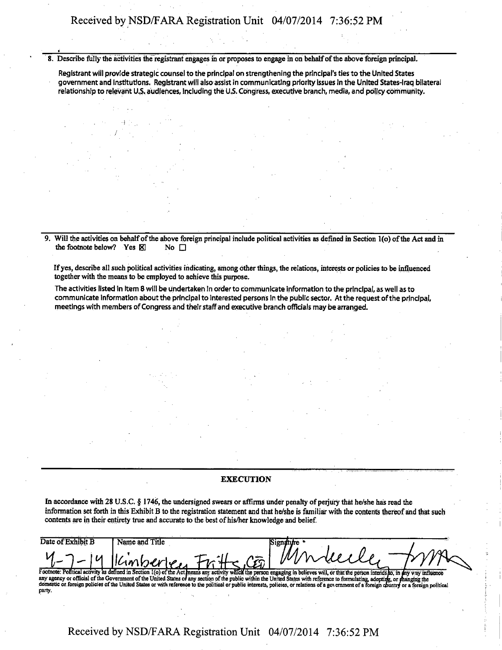Received by NSD/FARA Registration Unit 04/07/2014 7:36:52 PM

8. Describe fully the activities the registrant engages in or proposes to engage in on behalf of the above foreign principal.

Registrant will provide strategic counsel to the principal on strengthening the principal's ties to the United States government and Institutions. Registrant will also assist in communicating priority issues in the United States-Iraq bilateral relationship to relevant U.S. audiences, including the US. Congress, executive branch, media, and policy community.

9. Will the activities on behalf of the above foreign principal include political activities as defined in Section 1(o) of the Act and in the footnote below? Yes  $\boxtimes$  No  $\Box$ the footnote below? Yes  $\boxtimes$ 

Ifyes, describe all such political activities indicating, among other things, the relations, interests or policies to be influenced together with the means to be employed to achieve this purpose.

The activities listed in Item 8 will be undertaken in order to communicate information to the principal, as well as to communicate information about the principal to Interested persons In the public sector. At the request of the principal, meetings with members of Congress and their staff and executive branch officials may be arranged.

# **EXECUTION**

In accordance with 28 U.S.C. § 1746, the undersigned swears or affirms under penalty of perjury that he/she has read the information set forth in this Exhibit B to the registration statement and that he/she is familiar with the contents thereof and that such contents are in their entirety true and accurate to the best of his/her knowledge and belief.

| Date of Exhibit B | Name and Title |                                                                                                                                                                                              |
|-------------------|----------------|----------------------------------------------------------------------------------------------------------------------------------------------------------------------------------------------|
|                   |                |                                                                                                                                                                                              |
|                   |                | 4-7-14 Kimberley Fritte CEO Muleeller Tr.                                                                                                                                                    |
|                   |                |                                                                                                                                                                                              |
|                   |                | Footnote: Political activity as defined in Section 1(o) of the Act means any activity which the person engaging in believes will, or that the person intends to, in any way influence        |
|                   |                | any agency or official of the Government of the United States of any section of the public within the United States with reference to formulating, adopting, or fhanging the                 |
|                   |                | domestic or foreign policies of the United States or with reference to the political or public interests, policies, or relations of a government of a foreign country or a foreign political |
| party.            |                |                                                                                                                                                                                              |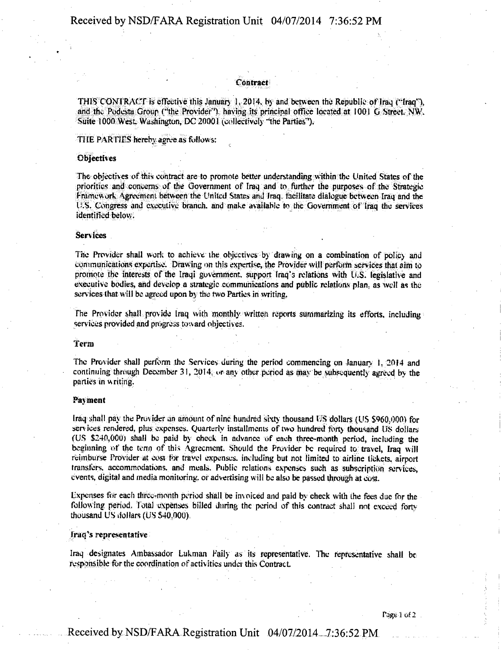## Contract

THIS CONTRACT is effective this January 1. 2014, by and between the Republic of Iraq ("Iraq"), and the Podesta Group ("the Provider"), having its principal office located at 1001 G Street. NW. Suite 1000 West. Washington, DC 20001 (collectively "the Parties").

THE PARTIES hereby agree as follows:

## **Objectives**

The objectives of this contract are to promote better understanding within the United States of the priorities and concerns of the Government of Iraq and to further the purposes of the Strategic Framework Agreement between the United States and Iraq. facilitate dialogue between Iraq and the U.S. Congress and executive branch, and make available to the Government of Iraq the services identified below.

# **Services**

The Provider shall work to achieve the objectives by drawing on a combination of policy and communications expertise. Drawing on this expertise, the Provider will perform services that aim to promote the interests of the Iraqi government, support Iraq's relations with U.S. legislative and executive bodies, and develop a strategic communications and public relations plan, as well as the services that will be agreed upon by the two Parties in writing.

The Provider shall provide Iraq with monthly written reports summarizing its efforts, including services provided and progress toward objectives.

#### *term*

The Provider shall perform the Services during the period commencing on January 1, 2014 and continuing through December 31, 2014, or any other period as may be subsequently agreed by the parties in writing.

#### Payment

Iraq shall pay the Provider an amount of nine hundred sixty thousand US dollars (US \$960,000) for services rendered, plus expenses. Quarterly installments of two hundred forty thousand US dollars' (US \$240,000) shall be paid by cheek in advance of each three-month period, including the beginning of the term of this Agreement. Should the Provider be required to travel, Iraq will reimburse Provider at cost for travel expenses, including but not limited to airline tickets, airport transfers, accommodations, and meals. Public relations expenses such as subscription services, events, digital and media monitoring, or advertising will be also be passed through at cost.

Expenses for each three-month period shall be invoiced and paid by check with the fees due for the following period. Total expenses billed during the period of this contract shall not exceed forty thousand US dollars (US \$40,000).

#### Iraq's representative

Iraq designates Ambassador Lukman Faily as its representative. The representative shall be responsible for the coordination of activities under this Contract

 $Page 1 of 2$